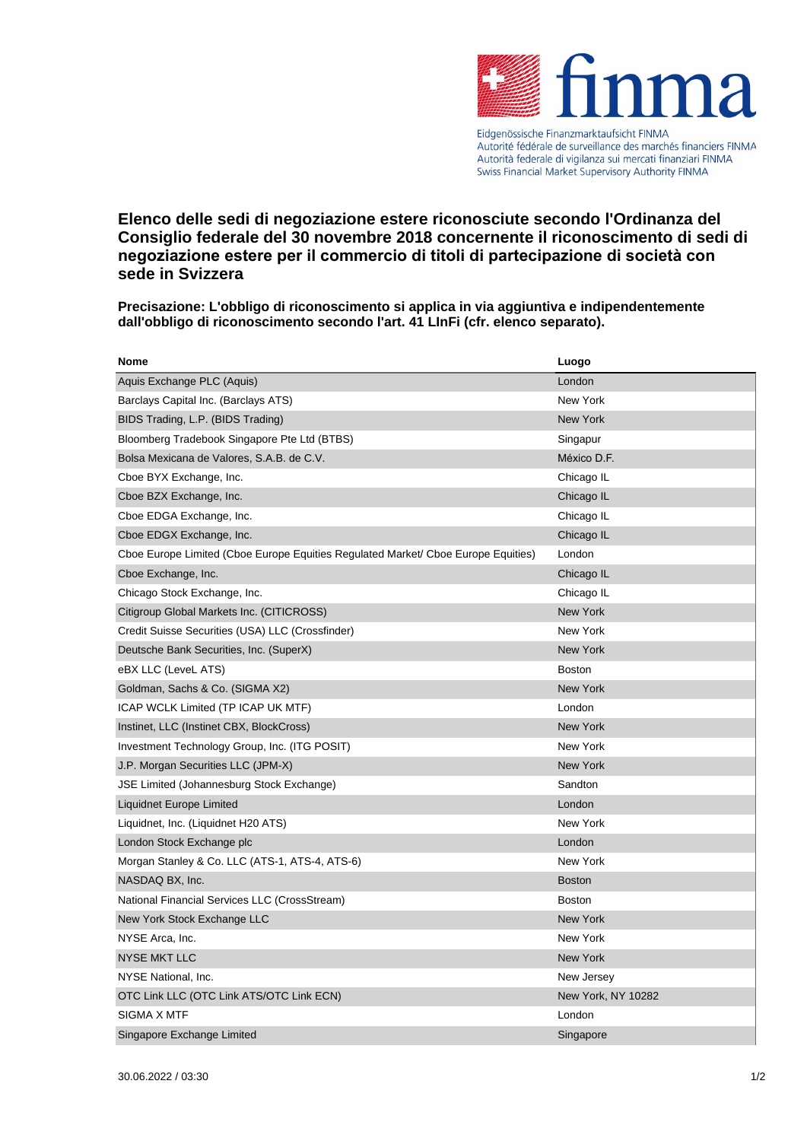

Autorité fédérale de surveillance des marchés financiers FINMA Autorità federale di vigilanza sui mercati finanziari FINMA Swiss Financial Market Supervisory Authority FINMA

**Elenco delle sedi di negoziazione estere riconosciute secondo l'Ordinanza del Consiglio federale del 30 novembre 2018 concernente il riconoscimento di sedi di negoziazione estere per il commercio di titoli di partecipazione di società con sede in Svizzera**

**Precisazione: L'obbligo di riconoscimento si applica in via aggiuntiva e indipendentemente dall'obbligo di riconoscimento secondo l'art. 41 LInFi (cfr. elenco separato).**

| <b>Nome</b>                                                                       | Luogo              |
|-----------------------------------------------------------------------------------|--------------------|
| Aquis Exchange PLC (Aquis)                                                        | London             |
| Barclays Capital Inc. (Barclays ATS)                                              | New York           |
| BIDS Trading, L.P. (BIDS Trading)                                                 | <b>New York</b>    |
| Bloomberg Tradebook Singapore Pte Ltd (BTBS)                                      | Singapur           |
| Bolsa Mexicana de Valores, S.A.B. de C.V.                                         | México D.F.        |
| Cboe BYX Exchange, Inc.                                                           | Chicago IL         |
| Cboe BZX Exchange, Inc.                                                           | Chicago IL         |
| Cboe EDGA Exchange, Inc.                                                          | Chicago IL         |
| Cboe EDGX Exchange, Inc.                                                          | Chicago IL         |
| Cboe Europe Limited (Cboe Europe Equities Regulated Market/ Cboe Europe Equities) | London             |
| Cboe Exchange, Inc.                                                               | Chicago IL         |
| Chicago Stock Exchange, Inc.                                                      | Chicago IL         |
| Citigroup Global Markets Inc. (CITICROSS)                                         | New York           |
| Credit Suisse Securities (USA) LLC (Crossfinder)                                  | New York           |
| Deutsche Bank Securities, Inc. (SuperX)                                           | New York           |
| eBX LLC (LeveL ATS)                                                               | <b>Boston</b>      |
| Goldman, Sachs & Co. (SIGMA X2)                                                   | <b>New York</b>    |
| ICAP WCLK Limited (TP ICAP UK MTF)                                                | London             |
| Instinet, LLC (Instinet CBX, BlockCross)                                          | <b>New York</b>    |
| Investment Technology Group, Inc. (ITG POSIT)                                     | New York           |
| J.P. Morgan Securities LLC (JPM-X)                                                | <b>New York</b>    |
| JSE Limited (Johannesburg Stock Exchange)                                         | Sandton            |
| Liquidnet Europe Limited                                                          | London             |
| Liquidnet, Inc. (Liquidnet H20 ATS)                                               | New York           |
| London Stock Exchange plc                                                         | London             |
| Morgan Stanley & Co. LLC (ATS-1, ATS-4, ATS-6)                                    | New York           |
| NASDAQ BX, Inc.                                                                   | <b>Boston</b>      |
| National Financial Services LLC (CrossStream)                                     | <b>Boston</b>      |
| New York Stock Exchange LLC                                                       | New York           |
| NYSE Arca, Inc.                                                                   | New York           |
| <b>NYSE MKT LLC</b>                                                               | New York           |
| NYSE National, Inc.                                                               | New Jersey         |
| OTC Link LLC (OTC Link ATS/OTC Link ECN)                                          | New York, NY 10282 |
| SIGMA X MTF                                                                       | London             |
| Singapore Exchange Limited                                                        | Singapore          |